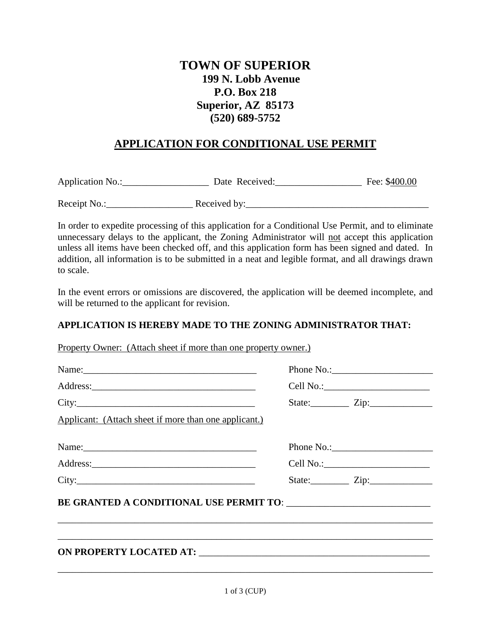# **TOWN OF SUPERIOR 199 N. Lobb Avenue P.O. Box 218 Superior, AZ 85173 (520) 689-5752**

## **APPLICATION FOR CONDITIONAL USE PERMIT**

Application No.:\_\_\_\_\_\_\_\_\_\_\_\_\_\_\_\_\_\_ Date Received:\_\_\_\_\_\_\_\_\_\_\_\_\_\_\_\_\_\_ Fee: \$400.00

Receipt No.: Received by:

In order to expedite processing of this application for a Conditional Use Permit, and to eliminate unnecessary delays to the applicant, the Zoning Administrator will not accept this application unless all items have been checked off, and this application form has been signed and dated. In addition, all information is to be submitted in a neat and legible format, and all drawings drawn to scale.

In the event errors or omissions are discovered, the application will be deemed incomplete, and will be returned to the applicant for revision.

#### **APPLICATION IS HEREBY MADE TO THE ZONING ADMINISTRATOR THAT:**

Property Owner: (Attach sheet if more than one property owner.)

|                                                       | State: <u>Zip:</u>                 |
|-------------------------------------------------------|------------------------------------|
| Applicant: (Attach sheet if more than one applicant.) |                                    |
| Name:                                                 |                                    |
|                                                       |                                    |
|                                                       | State: $\qquad \qquad \text{Zip:}$ |
|                                                       |                                    |
|                                                       |                                    |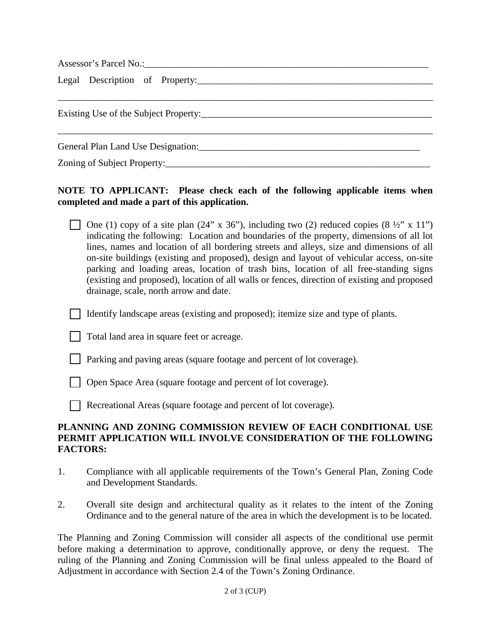|  | General Plan Land Use Designation: |  |  |
|--|------------------------------------|--|--|
|  |                                    |  |  |

## **NOTE TO APPLICANT: Please check each of the following applicable items when completed and made a part of this application.**

One (1) copy of a site plan (24" x 36"), including two (2) reduced copies  $(8 \frac{1}{2}$ " x 11") indicating the following: Location and boundaries of the property, dimensions of all lot lines, names and location of all bordering streets and alleys, size and dimensions of all on-site buildings (existing and proposed), design and layout of vehicular access, on-site parking and loading areas, location of trash bins, location of all free-standing signs (existing and proposed), location of all walls or fences, direction of existing and proposed drainage, scale, north arrow and date.

Identify landscape areas (existing and proposed); itemize size and type of plants.

- Total land area in square feet or acreage.
- Parking and paving areas (square footage and percent of lot coverage).
- Open Space Area (square footage and percent of lot coverage).
- Recreational Areas (square footage and percent of lot coverage).

#### **PLANNING AND ZONING COMMISSION REVIEW OF EACH CONDITIONAL USE PERMIT APPLICATION WILL INVOLVE CONSIDERATION OF THE FOLLOWING FACTORS:**

- 1. Compliance with all applicable requirements of the Town's General Plan, Zoning Code and Development Standards.
- 2. Overall site design and architectural quality as it relates to the intent of the Zoning Ordinance and to the general nature of the area in which the development is to be located.

The Planning and Zoning Commission will consider all aspects of the conditional use permit before making a determination to approve, conditionally approve, or deny the request. The ruling of the Planning and Zoning Commission will be final unless appealed to the Board of Adjustment in accordance with Section 2.4 of the Town's Zoning Ordinance.